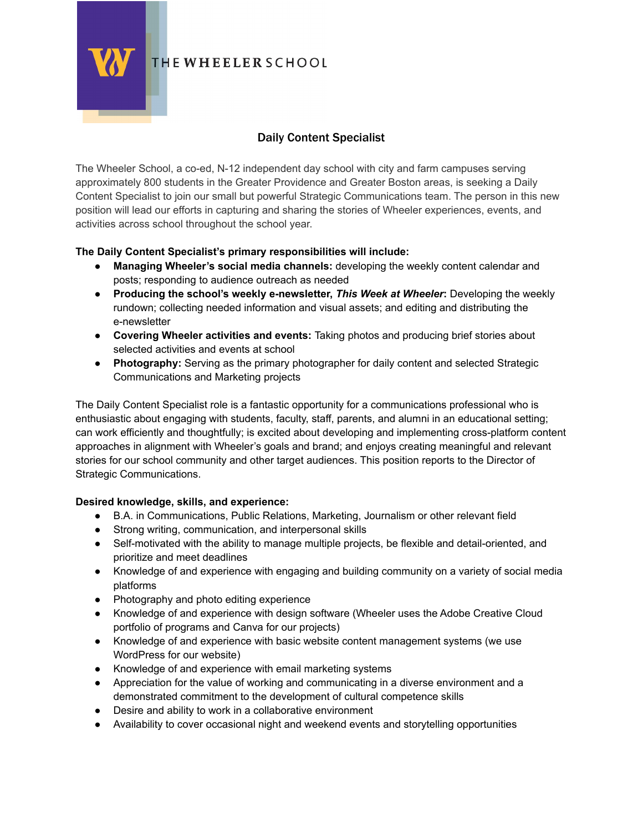

# THE WHEELER SCHOOL

# Daily Content Specialist

The Wheeler School, a co-ed, N-12 independent day school with city and farm campuses serving approximately 800 students in the Greater Providence and Greater Boston areas, is seeking a Daily Content Specialist to join our small but powerful Strategic Communications team. The person in this new position will lead our efforts in capturing and sharing the stories of Wheeler experiences, events, and activities across school throughout the school year.

## **The Daily Content Specialist's primary responsibilities will include:**

- **Managing Wheeler's social media channels:** developing the weekly content calendar and posts; responding to audience outreach as needed
- **Producing the school's weekly e-newsletter,** *This Week at Wheeler***:** Developing the weekly rundown; collecting needed information and visual assets; and editing and distributing the e-newsletter
- **Covering Wheeler activities and events:** Taking photos and producing brief stories about selected activities and events at school
- **Photography:** Serving as the primary photographer for daily content and selected Strategic Communications and Marketing projects

The Daily Content Specialist role is a fantastic opportunity for a communications professional who is enthusiastic about engaging with students, faculty, staff, parents, and alumni in an educational setting; can work efficiently and thoughtfully; is excited about developing and implementing cross-platform content approaches in alignment with Wheeler's goals and brand; and enjoys creating meaningful and relevant stories for our school community and other target audiences. This position reports to the Director of Strategic Communications.

### **Desired knowledge, skills, and experience:**

- B.A. in Communications, Public Relations, Marketing, Journalism or other relevant field
- Strong writing, communication, and interpersonal skills
- Self-motivated with the ability to manage multiple projects, be flexible and detail-oriented, and prioritize and meet deadlines
- Knowledge of and experience with engaging and building community on a variety of social media platforms
- Photography and photo editing experience
- Knowledge of and experience with design software (Wheeler uses the Adobe Creative Cloud portfolio of programs and Canva for our projects)
- Knowledge of and experience with basic website content management systems (we use WordPress for our website)
- Knowledge of and experience with email marketing systems
- Appreciation for the value of working and communicating in a diverse environment and a demonstrated commitment to the development of cultural competence skills
- Desire and ability to work in a collaborative environment
- Availability to cover occasional night and weekend events and storytelling opportunities